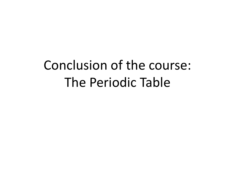## Conclusion of the course: The Periodic Table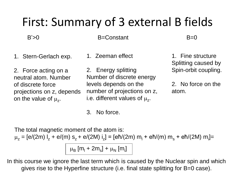## First: Summary of 3 external B fields

 $B' > 0$  B=Constant B=0

- 1. Stern-Gerlach exp.
- 1. Zeeman effect

2. Force acting on a neutral atom. Number of discrete force projections on z, depends on the value of  $\mu_z$ .

2. Energy splitting Number of discrete energy levels depends on the number of projections on z, i.e. different values of  $\mu_z$ .

1. Fine structure Splitting caused by Spin-orbit coupling.

2. No force on the atom.

3. No force.

The total magnetic moment of the atom is:

 $\mu_z = [e/(2m) I_z + e/(m) s_z + e/(2M) i_z] = [e\hbar/(2m) m_1 + e\hbar/(m) m_s + e\hbar/(2M) m_i] =$ 

 $\mu_{\rm B}$  [m<sub>i</sub> + 2m<sub>s</sub>] +  $\mu_{\rm N}$  [m<sub>i</sub>]

In this course we ignore the last term which is caused by the Nuclear spin and which gives rise to the Hyperfine structure (i.e. final state splitting for B=0 case).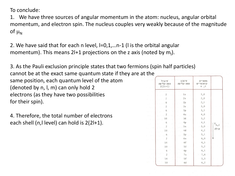To conclude:

1. We have three sources of angular momentum in the atom: nucleus, angular orbital momentum, and electron spin. The nucleus couples very weakly because of the magnitude of  $\mu_N$ 

2. We have said that for each n level, l=0,1,…n-1 (l is the orbital angular momentum). This means 2l+1 projections on the z axis (noted by  $m_1$ ).

3. As the Pauli exclusion principle states that two fermions (spin half particles) cannot be at the exact same quantum state if they are at the same position, each quantum level of the atom (denoted by n, l, m) can only hold 2 electrons (as they have two possibilities for their spin).

4. Therefore, the total number of electrons each shell (n,l level) can hold is 2(2l+1).

| קיבול<br>התת-קליפה<br>$2(2l+1)$ | סימון<br>התת-קליפה | מספרים<br>קואנטיים<br>n, l |              |
|---------------------------------|--------------------|----------------------------|--------------|
| 2                               | $1\,\mathrm{s}$    | 1,0                        |              |
|                                 | $2\,\mathrm{s}$    | 2,0                        |              |
| 6                               | 2p                 | 2,1                        |              |
| $\overline{2}$                  | $3s$               | 3,0                        |              |
| 6                               | $_{\rm 3p}$        | 3,1                        |              |
| $\overline{\mathbf{c}}$         | $4\,\mathrm{s}$    | 4,0                        |              |
| $10$                            | $3d$               | 3,2                        |              |
| 6                               | 4p                 | 4,1                        |              |
| $\sqrt{2}$                      | 5s                 | 5,0                        | $E_{n,\ell}$ |
| $10\,$                          | 4d                 | 4, 2                       | עולה         |
| $6\overline{)}$                 | $_{\rm 5p}$        | 5,1                        |              |
| $\overline{c}$                  | 6s                 | 6,0                        |              |
| 14                              | $4f$               | 4, 3                       |              |
| $10$                            | 5d                 | 5, 2                       |              |
| 6                               | 6p                 | 6,1                        |              |
| $\overline{c}$                  | 7s                 | 7,0                        |              |
| 14                              | 5f                 | 5,3                        |              |
| $10\,$                          | 6d                 | 6, 2                       |              |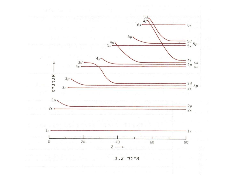